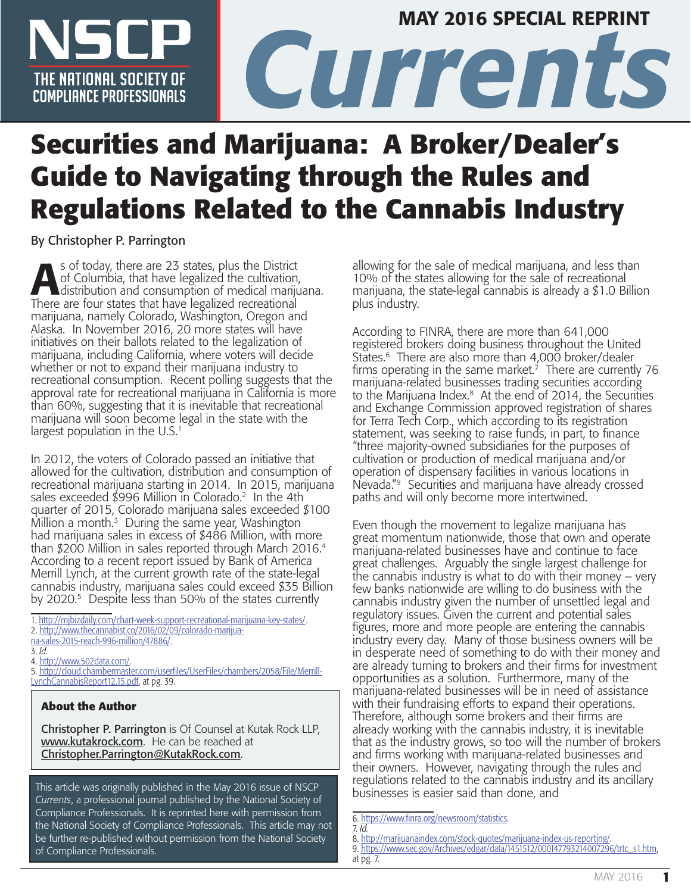

# **NSCP CURRENT CURRENT SOCIETY OF CURRENT CONDUCTS CONPLIENCE PROFESSIONALS** MAY 2016 SPECIAL REPRINT

# **Securities and Marijuana: A Broker/Dealer's Guide to Navigating through the Rules and Regulations Related to the Cannabis Industry**

By Christopher P. Parrington

s of today, there are 23 states, plus the District<br>of Columbia, that have legalized the cultivation,<br>distribution and consumption of medical mariju of Columbia, that have legalized the cultivation, distribution and consumption of medical marijuana. There are four states that have legalized recreational marijuana, namely Colorado, Washington, Oregon and Alaska. In November 2016, 20 more states will have initiatives on their ballots related to the legalization of marijuana, including California, where voters will decide whether or not to expand their marijuana industry to recreational consumption. Recent polling suggests that the approval rate for recreational marijuana in California is more than 60%, suggesting that it is inevitable that recreational marijuana will soon become legal in the state with the largest population in the  $U.S.^1$ 

In 2012, the voters of Colorado passed an initiative that allowed for the cultivation, distribution and consumption of recreational marijuana starting in 2014. In 2015, marijuana sales exceeded \$996 Million in Colorado.<sup>2</sup> In the 4th quarter of 2015, Colorado marijuana sales exceeded \$100 Million a month. $3$  During the same year, Washington had marijuana sales in excess of \$486 Million, with more than \$200 Million in sales reported through March 2016.<sup>4</sup> According to a recent report issued by Bank of America Merrill Lynch, at the current growth rate of the state-legal cannabis industry, marijuana sales could exceed \$35 Billion by 2020.<sup>5</sup> Despite less than 50% of the states currently

1. [http://mjbizdaily.com/chart-week-support-recreational-marijuana-key-states/.](http://mjbizdaily.com/chart-week-support-recreational-marijuana-key-states/)

- 2. [http://www.thecannabist.co/2016/02/09/colorado-marijua-](http://www.thecannabist.co/2016/02/09/colorado-marijuana-sales-2015-reach-996-million/47886/)
- [na-sales-2015-reach-996-million/47886/](http://www.thecannabist.co/2016/02/09/colorado-marijuana-sales-2015-reach-996-million/47886/).

4. [http://www.502data.com/.](http://www.502data.com/)

5. [http://cloud.chambermaster.com/userfiles/UserFiles/chambers/2058/File/Merrill-](http://cloud.chambermaster.com/userfiles/UserFiles/chambers/2058/File/MerrillLynchCannabisReport12.15.pdf)[LynchCannabisReport12.15.pdf,](http://cloud.chambermaster.com/userfiles/UserFiles/chambers/2058/File/MerrillLynchCannabisReport12.15.pdf) at pg. 39.

#### **About the Author**

Christopher P. Parrington is Of Counsel at Kutak Rock LLP, [www.kutakrock.com](http://www.kutakrock.com). He can be reached at [Christopher.Parrington@KutakRock.com](mailto:Christopher.Parrington@KutakRock.com).

This article was originally published in the May 2016 issue of NSCP *Currents*, a professional journal published by the National Society of Compliance Professionals. It is reprinted here with permission from the National Society of Compliance Professionals. This article may not be further re-published without permission from the National Society of Compliance Professionals.

allowing for the sale of medical marijuana, and less than 10% of the states allowing for the sale of recreational marijuana, the state-legal cannabis is already a \$1.0 Billion plus industry.

According to FINRA, there are more than 641,000 registered brokers doing business throughout the United States.6 There are also more than 4,000 broker/dealer firms operating in the same market.<sup>7</sup> There are currently 76 marijuana-related businesses trading securities according to the Marijuana Index. $8$  At the end of 2014, the Securities and Exchange Commission approved registration of shares for Terra Tech Corp., which according to its registration statement, was seeking to raise funds, in part, to finance "three majority-owned subsidiaries for the purposes of cultivation or production of medical marijuana and/or operation of dispensary facilities in various locations in Nevada."9 Securities and marijuana have already crossed paths and will only become more intertwined.

Even though the movement to legalize marijuana has great momentum nationwide, those that own and operate marijuana-related businesses have and continue to face great challenges. Arguably the single largest challenge for the cannabis industry is what to do with their money – very few banks nationwide are willing to do business with the cannabis industry given the number of unsettled legal and regulatory issues. Given the current and potential sales figures, more and more people are entering the cannabis industry every day. Many of those business owners will be in desperate need of something to do with their money and are already turning to brokers and their firms for investment opportunities as a solution. Furthermore, many of the marijuana-related businesses will be in need of assistance with their fundraising efforts to expand their operations. Therefore, although some brokers and their firms are already working with the cannabis industry, it is inevitable that as the industry grows, so too will the number of brokers and firms working with marijuana-related businesses and their owners. However, navigating through the rules and regulations related to the cannabis industry and its ancillary businesses is easier said than done, and

at pg. 7.

9. [https://www.sec.gov/Archives/edgar/data/1451512/000147793214007296/trtc\\_s1.htm,](https://www.sec.gov/Archives/edgar/data/1451512/000147793214007296/trtc_s1.htm)

<sup>3.</sup> *Id.*

<sup>6.</sup><https://www.finra.org/newsroom/statistics>.

<sup>7.</sup> *Id.*

<sup>8.</sup> [http://marijuanaindex.com/stock-quotes/marijuana-index-us-reporting/.](http://marijuanaindex.com/stock-quotes/marijuana-index-us-reporting/)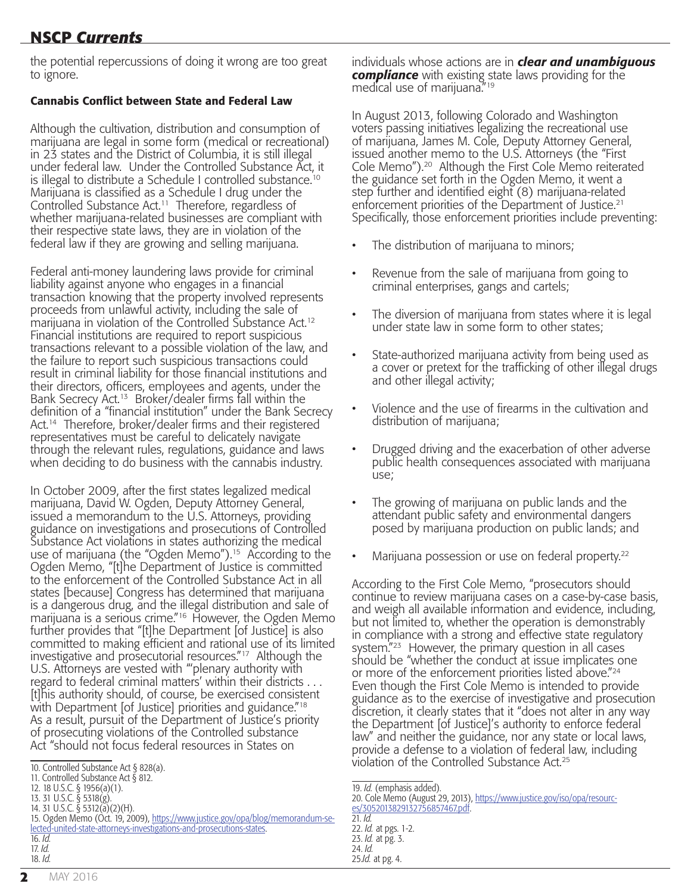# **NSCP** *Currents* **NSCP** *Currents*

the potential repercussions of doing it wrong are too great to ignore.

#### Cannabis Conflict between State and Federal Law

Although the cultivation, distribution and consumption of marijuana are legal in some form (medical or recreational) in 23 states and the District of Columbia, it is still illegal under federal law. Under the Controlled Substance Act, it is illegal to distribute a Schedule I controlled substance.<sup>10</sup> Marijuana is classified as a Schedule I drug under the Controlled Substance Act.11 Therefore, regardless of whether marijuana-related businesses are compliant with their respective state laws, they are in violation of the federal law if they are growing and selling marijuana.

Federal anti-money laundering laws provide for criminal liability against anyone who engages in a financial transaction knowing that the property involved represents proceeds from unlawful activity, including the sale of marijuana in violation of the Controlled Substance Act.12 Financial institutions are required to report suspicious transactions relevant to a possible violation of the law, and the failure to report such suspicious transactions could result in criminal liability for those financial institutions and their directors, officers, employees and agents, under the Bank Secrecy Act.13 Broker/dealer firms fall within the definition of a "financial institution" under the Bank Secrecy Act.<sup>14</sup> Therefore, broker/dealer firms and their registered representatives must be careful to delicately navigate through the relevant rules, regulations, guidance and laws when deciding to do business with the cannabis industry.

In October 2009, after the first states legalized medical marijuana, David W. Ogden, Deputy Attorney General, issued a memorandum to the U.S. Attorneys, providing guidance on investigations and prosecutions of Controlled Substance Act violations in states authorizing the medical use of marijuana (the "Ogden Memo").15 According to the Ogden Memo, "[t]he Department of Justice is committed to the enforcement of the Controlled Substance Act in all states [because] Congress has determined that marijuana is a dangerous drug, and the illegal distribution and sale of marijuana is a serious crime."16 However, the Ogden Memo further provides that "[t]he Department [of Justice] is also committed to making efficient and rational use of its limited investigative and prosecutorial resources."17 Although the U.S. Attorneys are vested with "'plenary authority with regard to federal criminal matters' within their districts . . . [t]his authority should, of course, be exercised consistent with Department [of Justice] priorities and guidance."<sup>18</sup> As a result, pursuit of the Department of Justice's priority of prosecuting violations of the Controlled substance Act "should not focus federal resources in States on

14. 31 U.S.C. § 5312(a)(2)(H). 15. Ogden Memo (Oct. 19, 2009), [https://www.justice.gov/opa/blog/memorandum-se](https://www.justice.gov/opa/blog/memorandum-selected-united-state-attorneys-investigations-and-prosecutions-states)[lected-united-state-attorneys-investigations-and-prosecutions-states](https://www.justice.gov/opa/blog/memorandum-selected-united-state-attorneys-investigations-and-prosecutions-states).

individuals whose actions are in *clear and unambiguous compliance* with existing state laws providing for the medical use of marijuana."<sup>19</sup>

In August 2013, following Colorado and Washington voters passing initiatives legalizing the recreational use of marijuana, James M. Cole, Deputy Attorney General, issued another memo to the U.S. Attorneys (the "First Cole Memo").20 Although the First Cole Memo reiterated the guidance set forth in the Ogden Memo, it went a step further and identified eight (8) marijuana-related enforcement priorities of the Department of Justice.<sup>21</sup> Specifically, those enforcement priorities include preventing:

- The distribution of marijuana to minors;
- Revenue from the sale of marijuana from going to criminal enterprises, gangs and cartels;
- The diversion of marijuana from states where it is legal under state law in some form to other states;
- State-authorized marijuana activity from being used as a cover or pretext for the trafficking of other illegal drugs and other illegal activity;
- Violence and the use of firearms in the cultivation and distribution of marijuana;
- Drugged driving and the exacerbation of other adverse public health consequences associated with marijuana use;
- The growing of marijuana on public lands and the attendant public safety and environmental dangers posed by marijuana production on public lands; and
- Marijuana possession or use on federal property.<sup>22</sup>

According to the First Cole Memo, "prosecutors should continue to review marijuana cases on a case-by-case basis, and weigh all available information and evidence, including, but not limited to, whether the operation is demonstrably in compliance with a strong and effective state regulatory system."<sup>23</sup> However, the primary question in all cases should be "whether the conduct at issue implicates one or more of the enforcement priorities listed above."24 Even though the First Cole Memo is intended to provide guidance as to the exercise of investigative and prosecution discretion, it clearly states that it "does not alter in any way the Department [of Justice]'s authority to enforce federal law" and neither the guidance, nor any state or local laws, provide a defense to a violation of federal law, including violation of the Controlled Substance Act.25

16. *Id.* 17. *Id.* 18. *Id.*

<sup>10.</sup> Controlled Substance Act § 828(a).

<sup>11.</sup> Controlled Substance Act § 812.

<sup>12. 18</sup> U.S.C. § 1956(a)(1).

<sup>13. 31</sup> U.S.C. § 5318(g).

<sup>19.</sup> *Id.* (emphasis added).

<sup>20.</sup> Cole Memo (August 29, 2013), [https://www.justice.gov/iso/opa/resourc](https://www.justice.gov/iso/opa/resources/3052013829132756857467.pdf)[es/3052013829132756857467.pdf](https://www.justice.gov/iso/opa/resources/3052013829132756857467.pdf).

<sup>21.</sup> *Id.* 22. *Id.* at pgs. 1-2.

<sup>23.</sup> *Id.* at pg. 3.

<sup>24.</sup> *Id.* 25.*Id.* at pg. 4.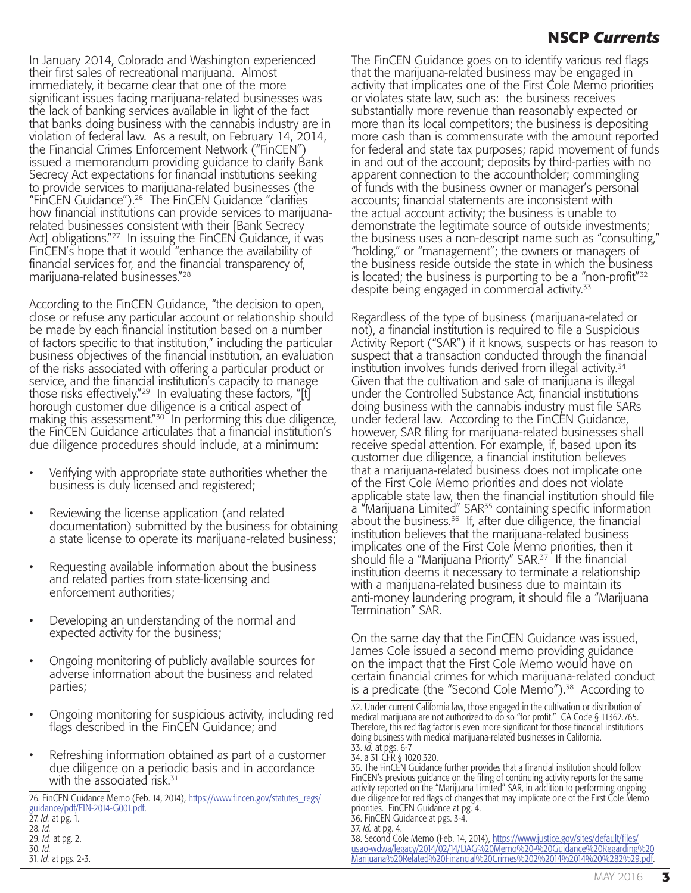# **NSCP** *Currents* **NSCP** *Currents*

In January 2014, Colorado and Washington experienced their first sales of recreational marijuana. Almost immediately, it became clear that one of the more significant issues facing marijuana-related businesses was the lack of banking services available in light of the fact that banks doing business with the cannabis industry are in violation of federal law. As a result, on February 14, 2014, the Financial Crimes Enforcement Network ("FinCEN") issued a memorandum providing guidance to clarify Bank Secrecy Act expectations for financial institutions seeking to provide services to marijuana-related businesses (the "FinCEN Guidance").26 The FinCEN Guidance "clarifies how financial institutions can provide services to marijuanarelated businesses consistent with their [Bank Secrecy Act] obligations."<sup>27</sup> In issuing the FinCEN Guidance, it was FinCEN's hope that it would "enhance the availability of financial services for, and the financial transparency of, marijuana-related businesses."28

According to the FinCEN Guidance, "the decision to open, close or refuse any particular account or relationship should be made by each financial institution based on a number of factors specific to that institution," including the particular business objectives of the financial institution, an evaluation of the risks associated with offering a particular product or service, and the financial institution's capacity to manage those risks effectively."<sup>29</sup> In evaluating these factors, "[t] horough customer due diligence is a critical aspect of making this assessment."<sup>30</sup> In performing this due diligence, the FinCEN Guidance articulates that a financial institution's due diligence procedures should include, at a minimum:

- Verifying with appropriate state authorities whether the business is duly licensed and registered;
- Reviewing the license application (and related documentation) submitted by the business for obtaining a state license to operate its marijuana-related business;
- Requesting available information about the business and related parties from state-licensing and enforcement authorities;
- Developing an understanding of the normal and expected activity for the business;
- Ongoing monitoring of publicly available sources for adverse information about the business and related parties;
- Ongoing monitoring for suspicious activity, including red flags described in the FinCEN Guidance; and
- Refreshing information obtained as part of a customer due diligence on a periodic basis and in accordance with the associated risk.<sup>31</sup>

26. FinCEN Guidance Memo (Feb. 14, 2014), [https://www.fincen.gov/statutes\\_regs/](https://www.fincen.gov/statutes_regs/guidance/pdf/FIN-2014-G001.pdf) [guidance/pdf/FIN-2014-G001.pdf](https://www.fincen.gov/statutes_regs/guidance/pdf/FIN-2014-G001.pdf).

27. *Id.* at pg. 1. 28. *Id.* 29. *Id.* at pg. 2. 30. *Id.* 31. *Id.* at pgs. 2-3. The FinCEN Guidance goes on to identify various red flags that the marijuana-related business may be engaged in activity that implicates one of the First Cole Memo priorities or violates state law, such as: the business receives substantially more revenue than reasonably expected or more than its local competitors; the business is depositing more cash than is commensurate with the amount reported for federal and state tax purposes; rapid movement of funds in and out of the account; deposits by third-parties with no apparent connection to the accountholder; commingling of funds with the business owner or manager's personal accounts; financial statements are inconsistent with the actual account activity; the business is unable to demonstrate the legitimate source of outside investments; the business uses a non-descript name such as "consulting," "holding," or "management"; the owners or managers of the business reside outside the state in which the business is located; the business is purporting to be a "non-profit"32 despite being engaged in commercial activity.<sup>33</sup>

Regardless of the type of business (marijuana-related or not), a financial institution is required to file a Suspicious Activity Report ("SAR") if it knows, suspects or has reason to suspect that a transaction conducted through the financial institution involves funds derived from illegal activity.34 Given that the cultivation and sale of marijuana is illegal under the Controlled Substance Act, financial institutions doing business with the cannabis industry must file SARs under federal law. According to the FinCEN Guidance, however, SAR filing for marijuana-related businesses shall receive special attention. For example, if, based upon its customer due diligence, a financial institution believes that a marijuana-related business does not implicate one of the First Cole Memo priorities and does not violate applicable state law, then the financial institution should file a "Marijuana Limited" SAR<sup>35</sup> containing specific information about the business. $36$  If, after due diligence, the financial institution believes that the marijuana-related business implicates one of the First Cole Memo priorities, then it should file a "Marijuana Priority" SAR.<sup>37</sup> If the financial institution deems it necessary to terminate a relationship with a marijuana-related business due to maintain its anti-money laundering program, it should file a "Marijuana Termination" SAR.

On the same day that the FinCEN Guidance was issued, James Cole issued a second memo providing guidance on the impact that the First Cole Memo would have on certain financial crimes for which marijuana-related conduct is a predicate (the "Second Cole Memo").<sup>38</sup> According to

36. FinCEN Guidance at pgs. 3-4.

38. Second Cole Memo (Feb. 14, 2014), <u>https://www.justice.gov/sites/default/files</u>/ [usao-wdwa/legacy/2014/02/14/DAG%20Memo%20-%20Guidance%20Regarding%20](https://www.justice.gov/sites/default/files/usao-wdwa/legacy/2014/02/14/DAG%20Memo%20-%20Guidance%20Regarding%20Marijuana%20Related%20Financial%20Crimes%202%2014%2014%20%282%29.pdf) [Marijuana%20Related%20Financial%20Crimes%202%2014%2014%20%282%29.pdf.](https://www.justice.gov/sites/default/files/usao-wdwa/legacy/2014/02/14/DAG%20Memo%20-%20Guidance%20Regarding%20Marijuana%20Related%20Financial%20Crimes%202%2014%2014%20%282%29.pdf)

<sup>32.</sup> Under current California law, those engaged in the cultivation or distribution of medical marijuana are not authorized to do so "for profit." CA Code § 11362.765. Therefore, this red flag factor is even more significant for those financial institutions doing business with medical marijuana-related businesses in California. 33. *Id.* at pgs. 6-7

<sup>34.</sup> a 31 CFR § 1020.320.

<sup>35.</sup> The FinCEN Guidance further provides that a financial institution should follow FinCEN's previous guidance on the filing of continuing activity reports for the same activity reported on the "Marijuana Limited" SAR, in addition to performing ongoing due diligence for red flags of changes that may implicate one of the First Cole Memo priorities. FinCEN Guidance at pg. 4.

<sup>37.</sup> *Id.* at pg. 4.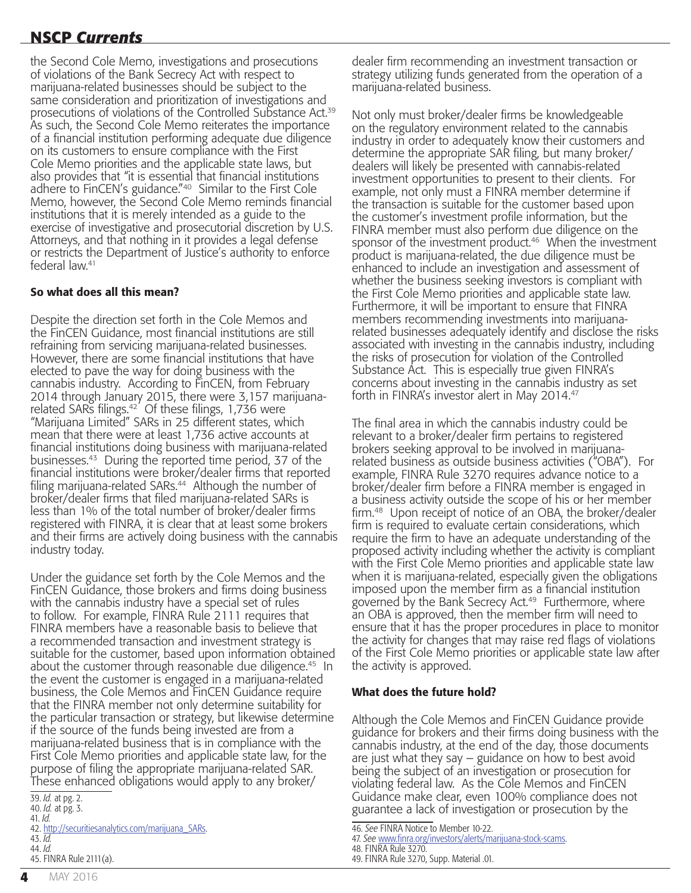# **NSCP** *Currents* **NSCP** *Currents*

the Second Cole Memo, investigations and prosecutions of violations of the Bank Secrecy Act with respect to marijuana-related businesses should be subject to the same consideration and prioritization of investigations and prosecutions of violations of the Controlled Substance Act.39 As such, the Second Cole Memo reiterates the importance of a financial institution performing adequate due diligence on its customers to ensure compliance with the First Cole Memo priorities and the applicable state laws, but also provides that "it is essential that financial institutions adhere to FinCEN's guidance."40 Similar to the First Cole Memo, however, the Second Cole Memo reminds financial institutions that it is merely intended as a guide to the exercise of investigative and prosecutorial discretion by U.S. Attorneys, and that nothing in it provides a legal defense or restricts the Department of Justice's authority to enforce federal law.41

#### So what does all this mean?

Despite the direction set forth in the Cole Memos and the FinCEN Guidance, most financial institutions are still refraining from servicing marijuana-related businesses. However, there are some financial institutions that have elected to pave the way for doing business with the cannabis industry. According to FinCEN, from February 2014 through January 2015, there were 3,157 marijuanarelated SARs filings.42 Of these filings, 1,736 were "Marijuana Limited" SARs in 25 different states, which mean that there were at least 1,736 active accounts at financial institutions doing business with marijuana-related businesses.43 During the reported time period, 37 of the financial institutions were broker/dealer firms that reported filing marijuana-related SARs.<sup>44</sup> Although the number of broker/dealer firms that filed marijuana-related SARs is less than 1% of the total number of broker/dealer firms registered with FINRA, it is clear that at least some brokers and their firms are actively doing business with the cannabis industry today.

Under the guidance set forth by the Cole Memos and the FinCEN Guidance, those brokers and firms doing business with the cannabis industry have a special set of rules to follow. For example, FINRA Rule 2111 requires that FINRA members have a reasonable basis to believe that a recommended transaction and investment strategy is suitable for the customer, based upon information obtained about the customer through reasonable due diligence.<sup>45</sup> In the event the customer is engaged in a marijuana-related business, the Cole Memos and FinCEN Guidance require that the FINRA member not only determine suitability for the particular transaction or strategy, but likewise determine if the source of the funds being invested are from a marijuana-related business that is in compliance with the First Cole Memo priorities and applicable state law, for the purpose of filing the appropriate marijuana-related SAR. These enhanced obligations would apply to any broker/

dealer firm recommending an investment transaction or strategy utilizing funds generated from the operation of a marijuana-related business.

Not only must broker/dealer firms be knowledgeable on the regulatory environment related to the cannabis industry in order to adequately know their customers and determine the appropriate SAR filing, but many broker/ dealers will likely be presented with cannabis-related investment opportunities to present to their clients. For example, not only must a FINRA member determine if the transaction is suitable for the customer based upon the customer's investment profile information, but the FINRA member must also perform due diligence on the sponsor of the investment product.<sup>46</sup> When the investment product is marijuana-related, the due diligence must be enhanced to include an investigation and assessment of whether the business seeking investors is compliant with the First Cole Memo priorities and applicable state law. Furthermore, it will be important to ensure that FINRA members recommending investments into marijuanarelated businesses adequately identify and disclose the risks associated with investing in the cannabis industry, including the risks of prosecution for violation of the Controlled Substance Act. This is especially true given FINRA's concerns about investing in the cannabis industry as set forth in FINRA's investor alert in May 2014.<sup>47</sup>

The final area in which the cannabis industry could be relevant to a broker/dealer firm pertains to registered brokers seeking approval to be involved in marijuanarelated business as outside business activities ("OBA"). For example, FINRA Rule 3270 requires advance notice to a broker/dealer firm before a FINRA member is engaged in a business activity outside the scope of his or her member firm.48 Upon receipt of notice of an OBA, the broker/dealer firm is required to evaluate certain considerations, which require the firm to have an adequate understanding of the proposed activity including whether the activity is compliant with the First Cole Memo priorities and applicable state law when it is marijuana-related, especially given the obligations imposed upon the member firm as a financial institution governed by the Bank Secrecy Act.<sup>49</sup> Furthermore, where an OBA is approved, then the member firm will need to ensure that it has the proper procedures in place to monitor the activity for changes that may raise red flags of violations of the First Cole Memo priorities or applicable state law after the activity is approved.

#### What does the future hold?

Although the Cole Memos and FinCEN Guidance provide guidance for brokers and their firms doing business with the cannabis industry, at the end of the day, those documents are just what they say – guidance on how to best avoid being the subject of an investigation or prosecution for violating federal law. As the Cole Memos and FinCEN Guidance make clear, even 100% compliance does not guarantee a lack of investigation or prosecution by the

<sup>39.</sup> *Id.* at pg. 2.

<sup>40.</sup> *Id.* at pg. 3.

<sup>41.</sup> *Id.*

<sup>42.</sup> [http://securitiesanalytics.com/marijuana\\_SARs](http://securitiesanalytics.com/marijuana_SARs).

<sup>43.</sup> *Id.* 44. *Id.*

<sup>45.</sup> FINRA Rule 2111(a).

<sup>46.</sup> *See* FINRA Notice to Member 10-22.

<sup>47.</sup> *See* [www.finra.org/investors/alerts/marijuana-stock-scams.](http://www.finra.org/investors/alerts/marijuana-stock-scams)

<sup>48.</sup> FINRA Rule 3270. 49. FINRA Rule 3270, Supp. Material .01.